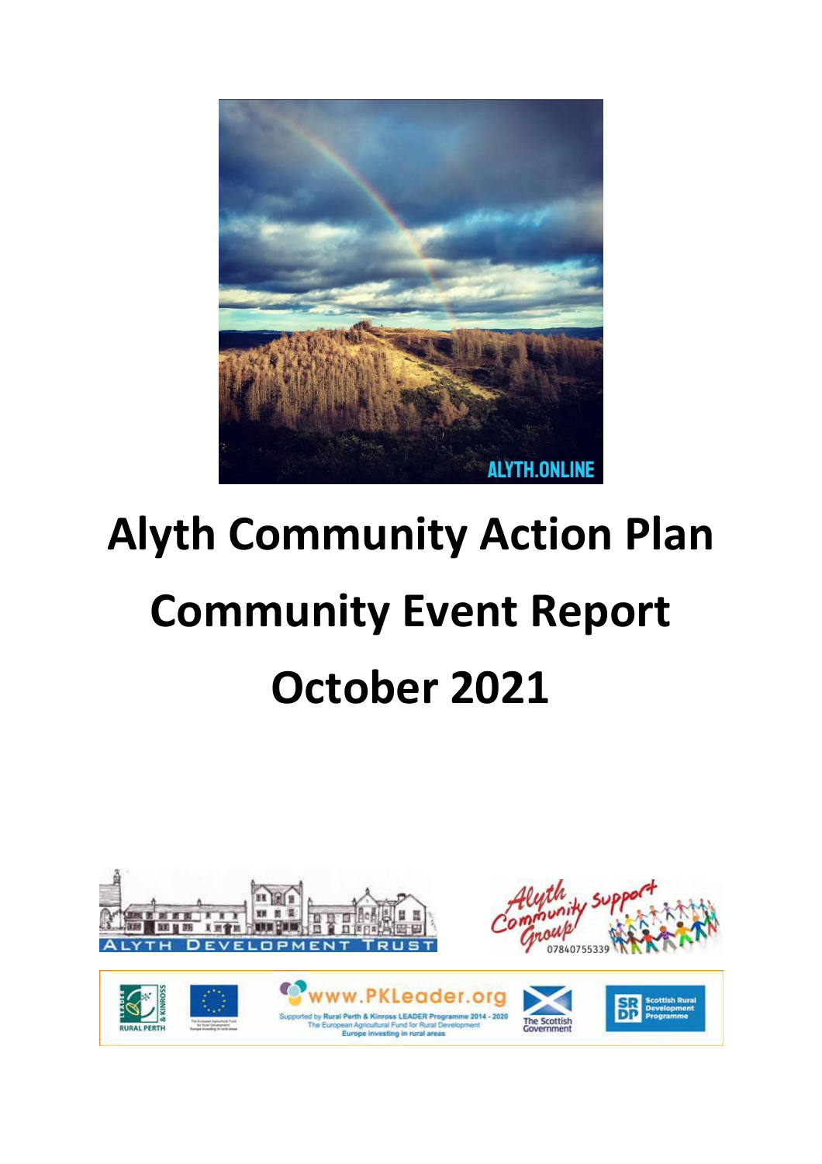

# **Alyth Community Action Plan Community Event Report October 2021**

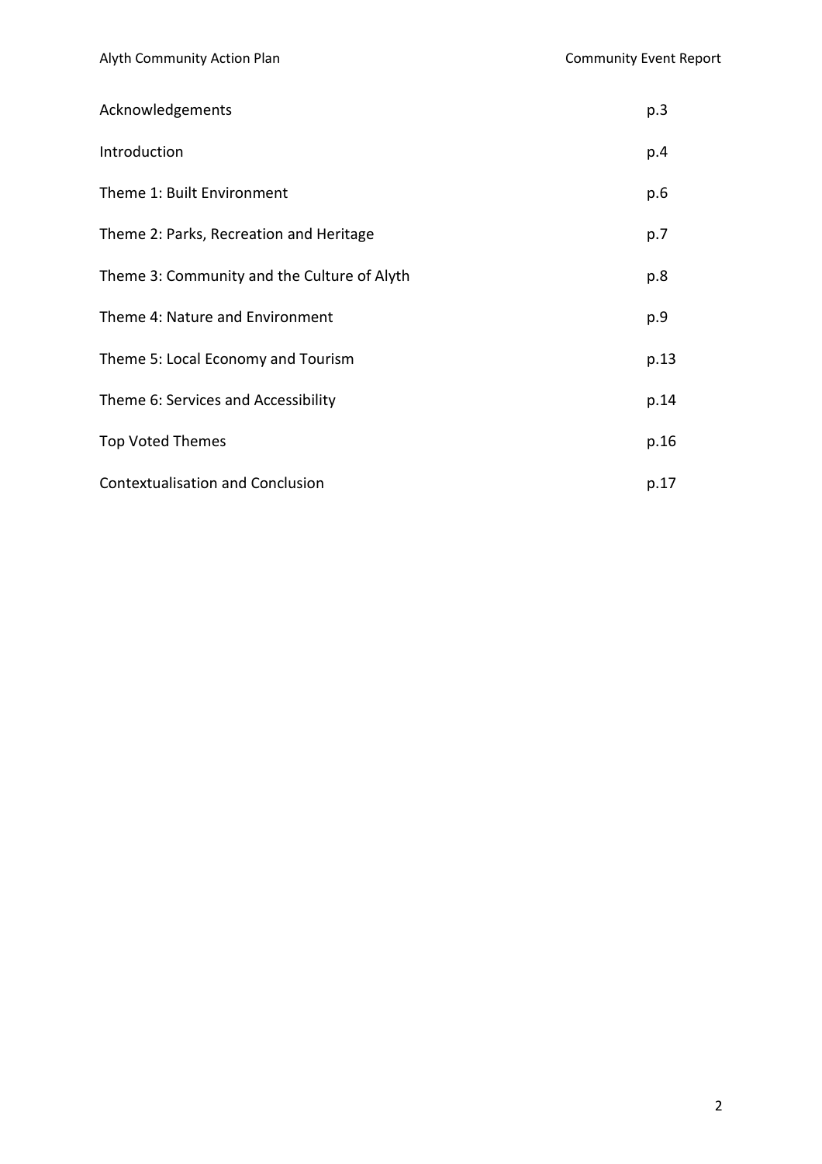| Acknowledgements                            | p.3  |
|---------------------------------------------|------|
| Introduction                                | p.4  |
| Theme 1: Built Environment                  | p.6  |
| Theme 2: Parks, Recreation and Heritage     | p.7  |
| Theme 3: Community and the Culture of Alyth | p.8  |
| Theme 4: Nature and Environment             | p.9  |
| Theme 5: Local Economy and Tourism          | p.13 |
| Theme 6: Services and Accessibility         | p.14 |
| <b>Top Voted Themes</b>                     | p.16 |
| <b>Contextualisation and Conclusion</b>     | p.17 |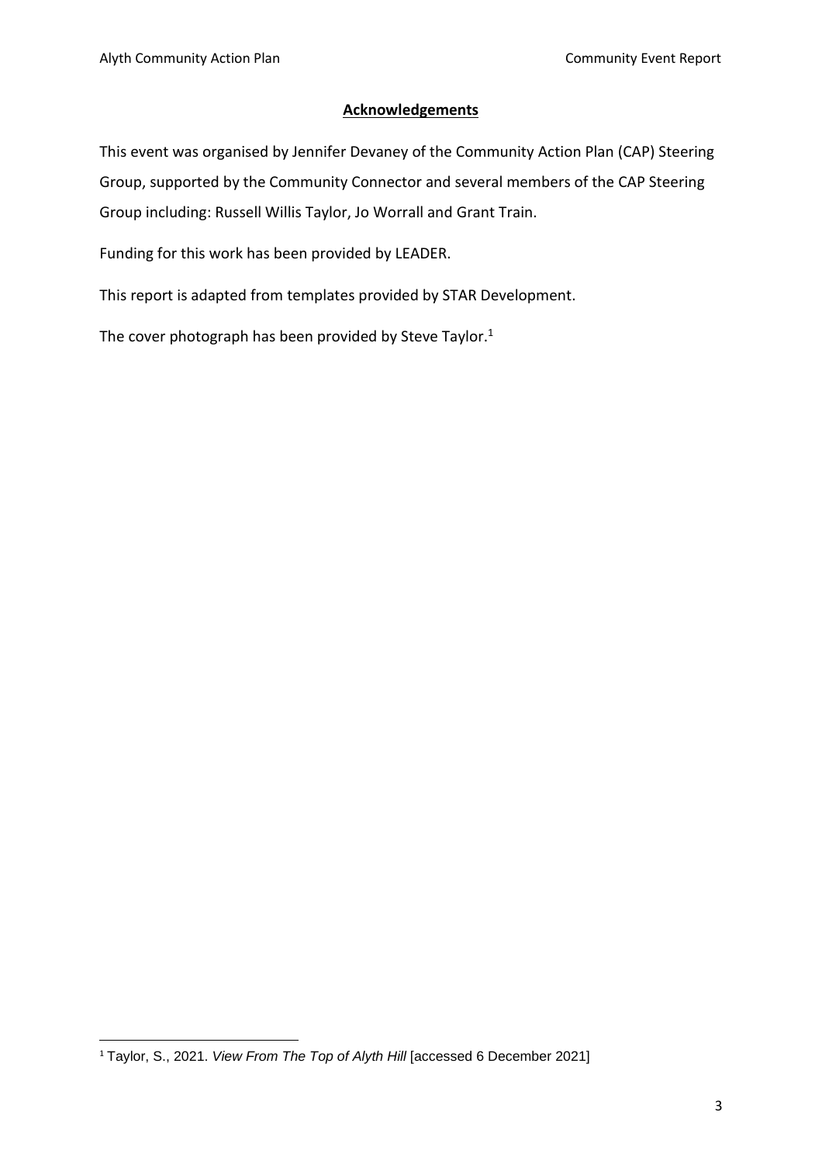#### **Acknowledgements**

This event was organised by Jennifer Devaney of the Community Action Plan (CAP) Steering Group, supported by the Community Connector and several members of the CAP Steering Group including: Russell Willis Taylor, Jo Worrall and Grant Train.

Funding for this work has been provided by LEADER.

This report is adapted from templates provided by STAR Development.

The cover photograph has been provided by Steve Taylor.<sup>1</sup>

<sup>1</sup> Taylor, S., 2021. *View From The Top of Alyth Hill* [accessed 6 December 2021]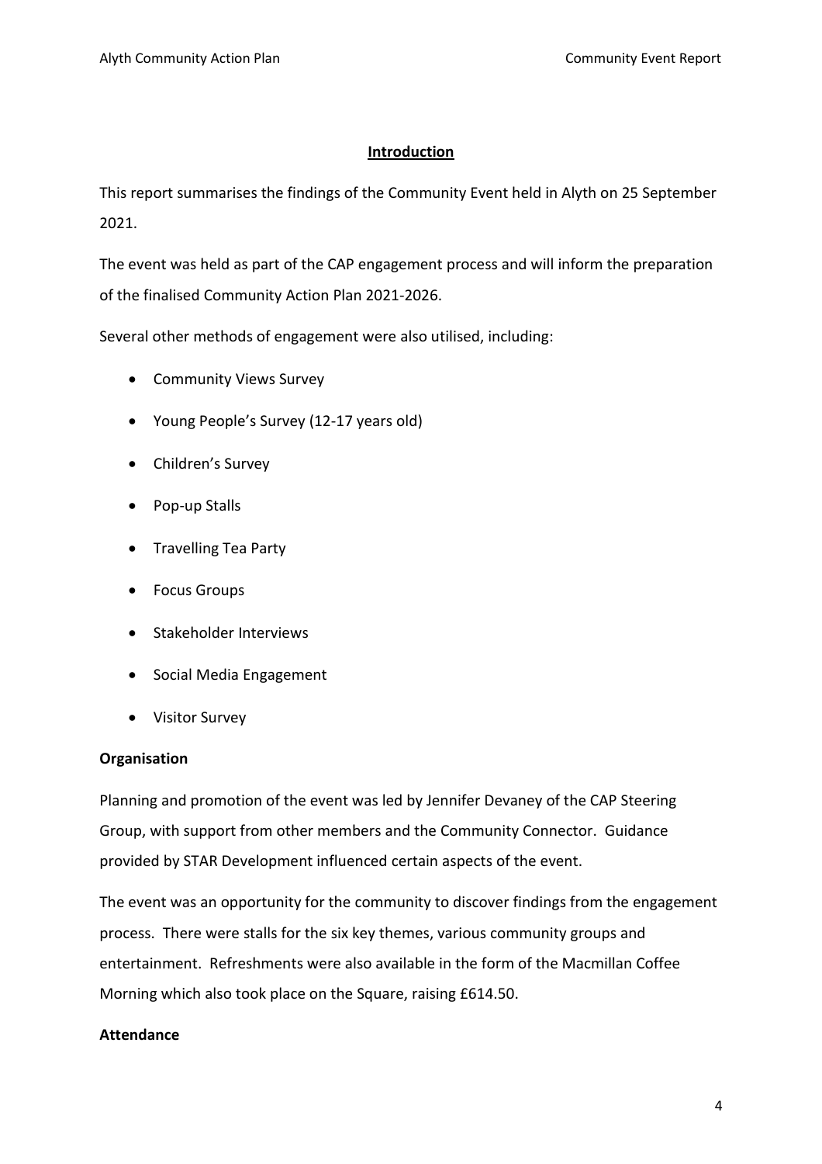#### **Introduction**

This report summarises the findings of the Community Event held in Alyth on 25 September 2021.

The event was held as part of the CAP engagement process and will inform the preparation of the finalised Community Action Plan 2021-2026.

Several other methods of engagement were also utilised, including:

- Community Views Survey
- Young People's Survey (12-17 years old)
- Children's Survey
- Pop-up Stalls
- Travelling Tea Party
- Focus Groups
- Stakeholder Interviews
- Social Media Engagement
- Visitor Survey

#### **Organisation**

Planning and promotion of the event was led by Jennifer Devaney of the CAP Steering Group, with support from other members and the Community Connector. Guidance provided by STAR Development influenced certain aspects of the event.

The event was an opportunity for the community to discover findings from the engagement process. There were stalls for the six key themes, various community groups and entertainment. Refreshments were also available in the form of the Macmillan Coffee Morning which also took place on the Square, raising £614.50.

#### **Attendance**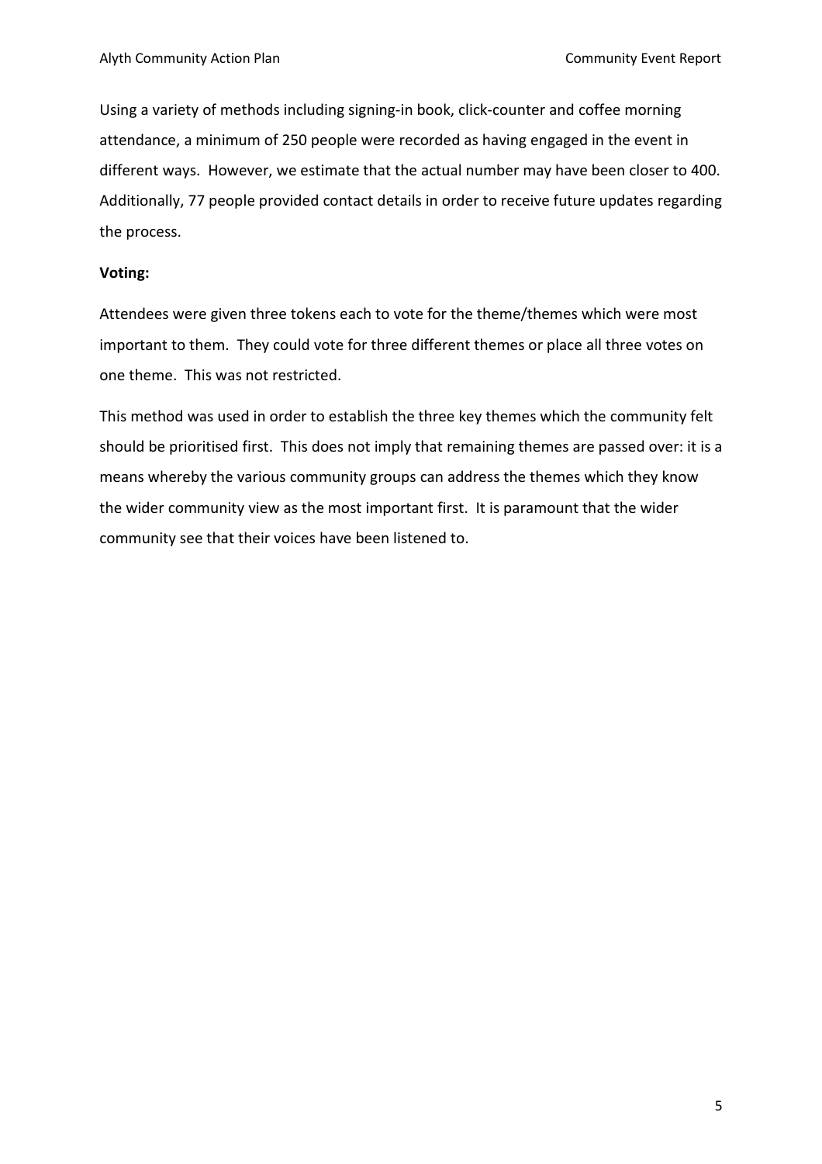Using a variety of methods including signing-in book, click-counter and coffee morning attendance, a minimum of 250 people were recorded as having engaged in the event in different ways. However, we estimate that the actual number may have been closer to 400. Additionally, 77 people provided contact details in order to receive future updates regarding the process.

#### **Voting:**

Attendees were given three tokens each to vote for the theme/themes which were most important to them. They could vote for three different themes or place all three votes on one theme. This was not restricted.

This method was used in order to establish the three key themes which the community felt should be prioritised first. This does not imply that remaining themes are passed over: it is a means whereby the various community groups can address the themes which they know the wider community view as the most important first. It is paramount that the wider community see that their voices have been listened to.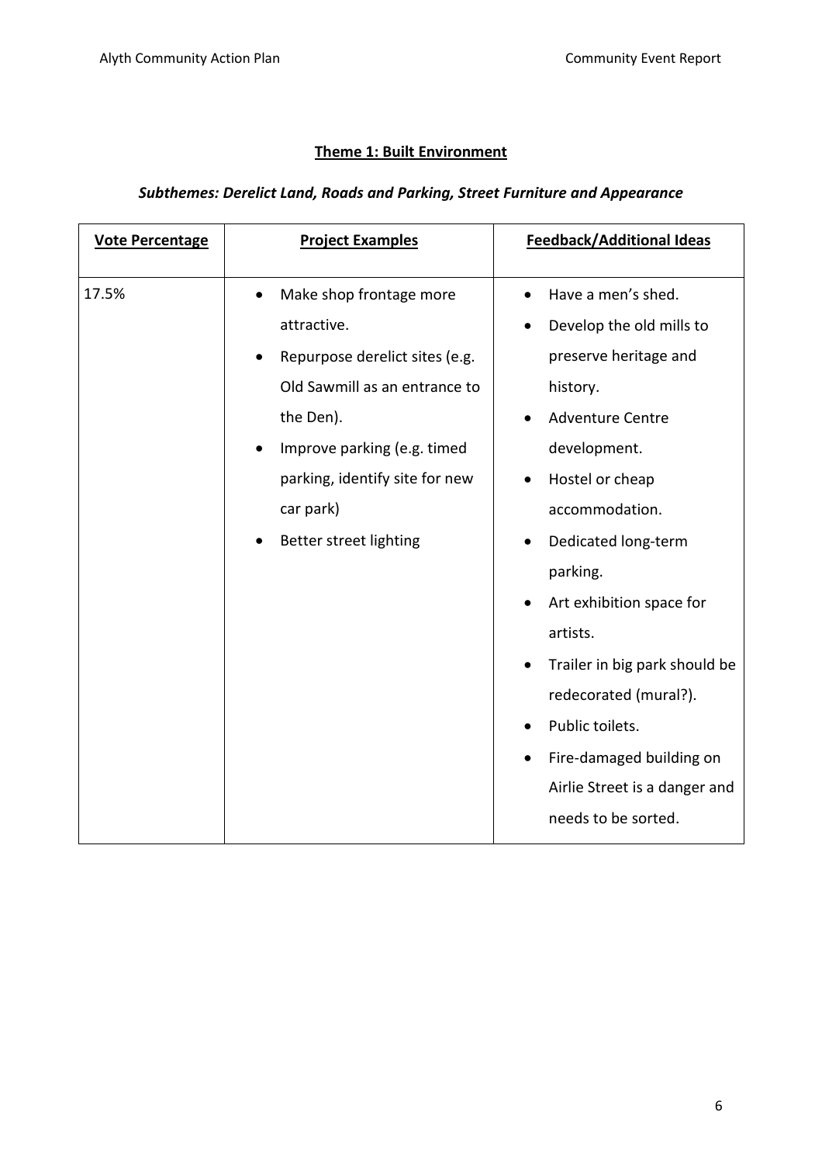# **Theme 1: Built Environment**

# *Subthemes: Derelict Land, Roads and Parking, Street Furniture and Appearance*

| <b>Vote Percentage</b> | <b>Project Examples</b>                                                                                                                                                                                                                     | <b>Feedback/Additional Ideas</b>                                                                                                                                                                                                                                                                                                                                                                                             |
|------------------------|---------------------------------------------------------------------------------------------------------------------------------------------------------------------------------------------------------------------------------------------|------------------------------------------------------------------------------------------------------------------------------------------------------------------------------------------------------------------------------------------------------------------------------------------------------------------------------------------------------------------------------------------------------------------------------|
| 17.5%                  | Make shop frontage more<br>$\bullet$<br>attractive.<br>Repurpose derelict sites (e.g.<br>Old Sawmill as an entrance to<br>the Den).<br>Improve parking (e.g. timed<br>parking, identify site for new<br>car park)<br>Better street lighting | Have a men's shed.<br>Develop the old mills to<br>$\bullet$<br>preserve heritage and<br>history.<br><b>Adventure Centre</b><br>development.<br>Hostel or cheap<br>accommodation.<br>Dedicated long-term<br>parking.<br>Art exhibition space for<br>artists.<br>Trailer in big park should be<br>redecorated (mural?).<br>Public toilets.<br>Fire-damaged building on<br>Airlie Street is a danger and<br>needs to be sorted. |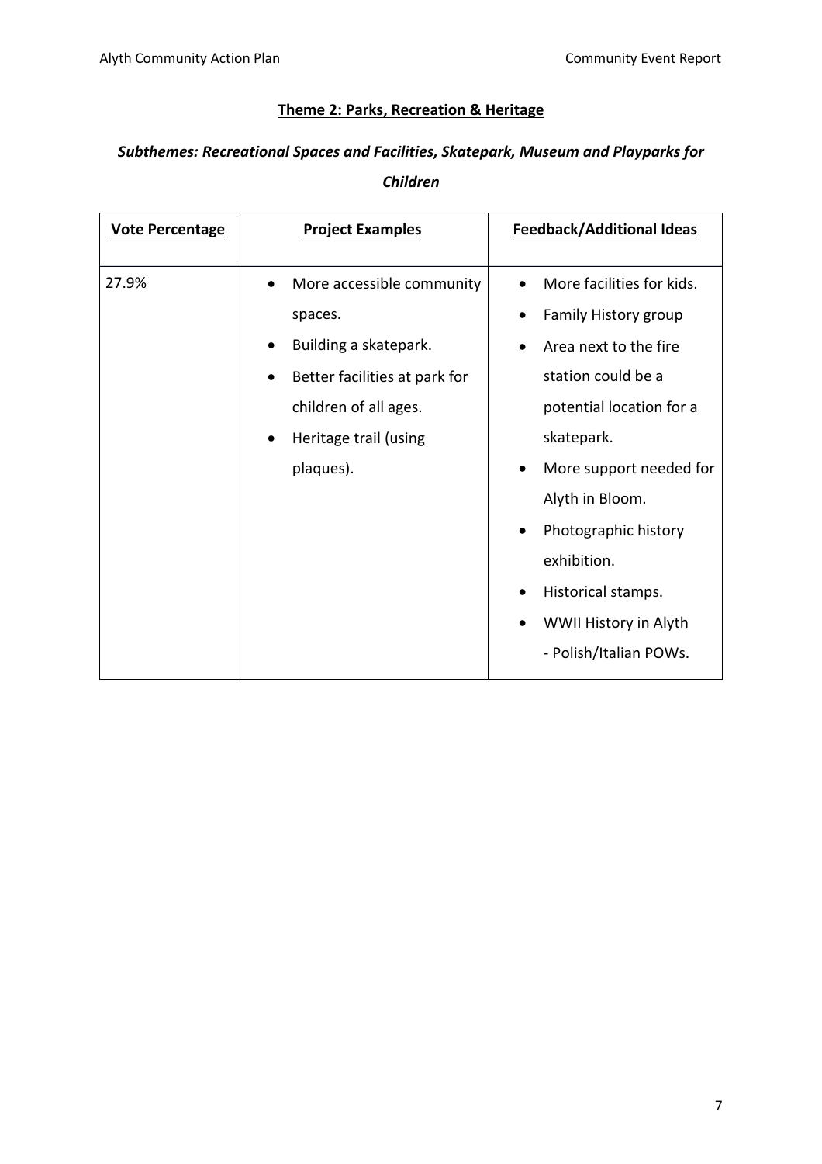#### **Theme 2: Parks, Recreation & Heritage**

# *Subthemes: Recreational Spaces and Facilities, Skatepark, Museum and Playparks for*

*Children*

| 27.9%<br>More facilities for kids.<br>More accessible community<br>$\bullet$<br>Family History group<br>spaces.<br>Building a skatepark.<br>Area next to the fire<br>station could be a<br>Better facilities at park for<br>$\bullet$<br>potential location for a<br>children of all ages.<br>skatepark.<br>Heritage trail (using<br>$\bullet$<br>plaques).<br>More support needed for<br>$\bullet$<br>Alyth in Bloom.<br>Photographic history<br>$\bullet$<br>exhibition.<br>Historical stamps.<br>$\bullet$<br>WWII History in Alyth<br>- Polish/Italian POWs. | <b>Vote Percentage</b> | <b>Project Examples</b> | <b>Feedback/Additional Ideas</b> |
|------------------------------------------------------------------------------------------------------------------------------------------------------------------------------------------------------------------------------------------------------------------------------------------------------------------------------------------------------------------------------------------------------------------------------------------------------------------------------------------------------------------------------------------------------------------|------------------------|-------------------------|----------------------------------|
|                                                                                                                                                                                                                                                                                                                                                                                                                                                                                                                                                                  |                        |                         |                                  |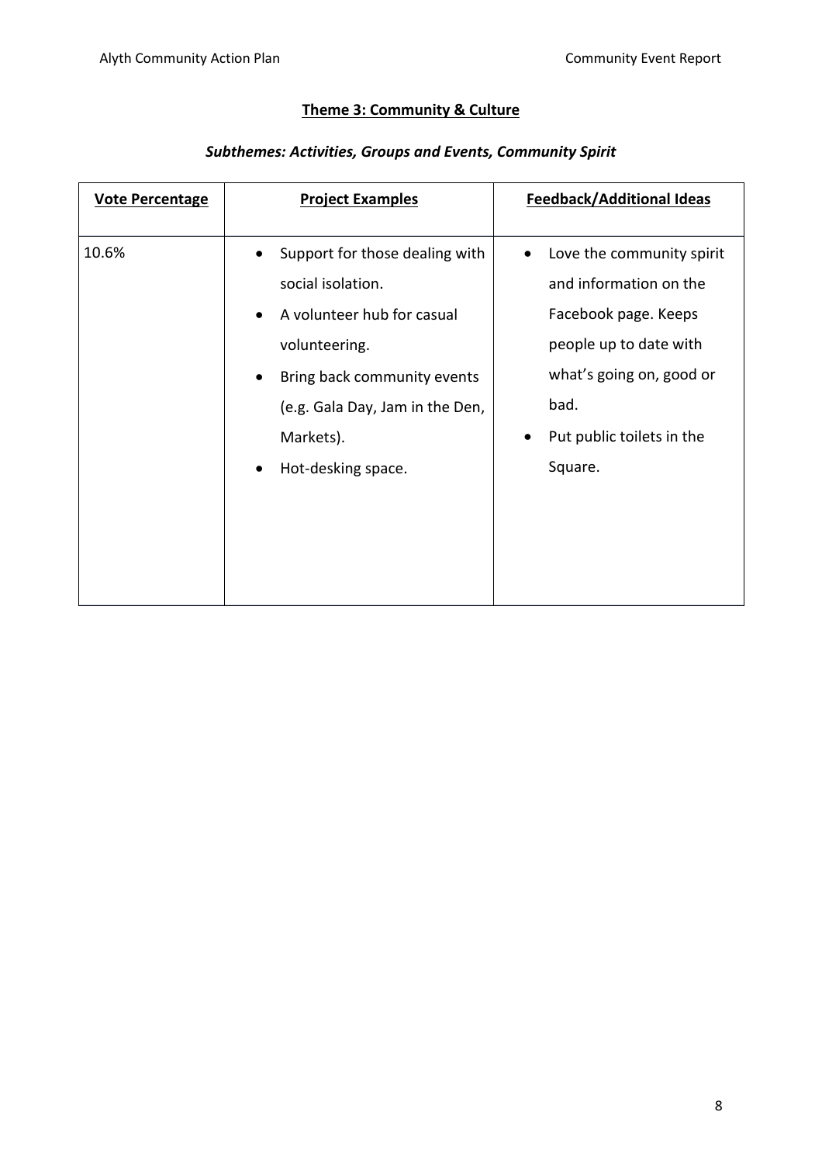# **Theme 3: Community & Culture**

# *Subthemes: Activities, Groups and Events, Community Spirit*

| <b>Vote Percentage</b> | <b>Project Examples</b>                                                                                                                                                                                                                                     | <b>Feedback/Additional Ideas</b>                                                                                                                                                                    |
|------------------------|-------------------------------------------------------------------------------------------------------------------------------------------------------------------------------------------------------------------------------------------------------------|-----------------------------------------------------------------------------------------------------------------------------------------------------------------------------------------------------|
| 10.6%                  | Support for those dealing with<br>$\bullet$<br>social isolation.<br>A volunteer hub for casual<br>$\bullet$<br>volunteering.<br>Bring back community events<br>$\bullet$<br>(e.g. Gala Day, Jam in the Den,<br>Markets).<br>Hot-desking space.<br>$\bullet$ | Love the community spirit<br>$\bullet$<br>and information on the<br>Facebook page. Keeps<br>people up to date with<br>what's going on, good or<br>bad.<br>Put public toilets in the<br>٠<br>Square. |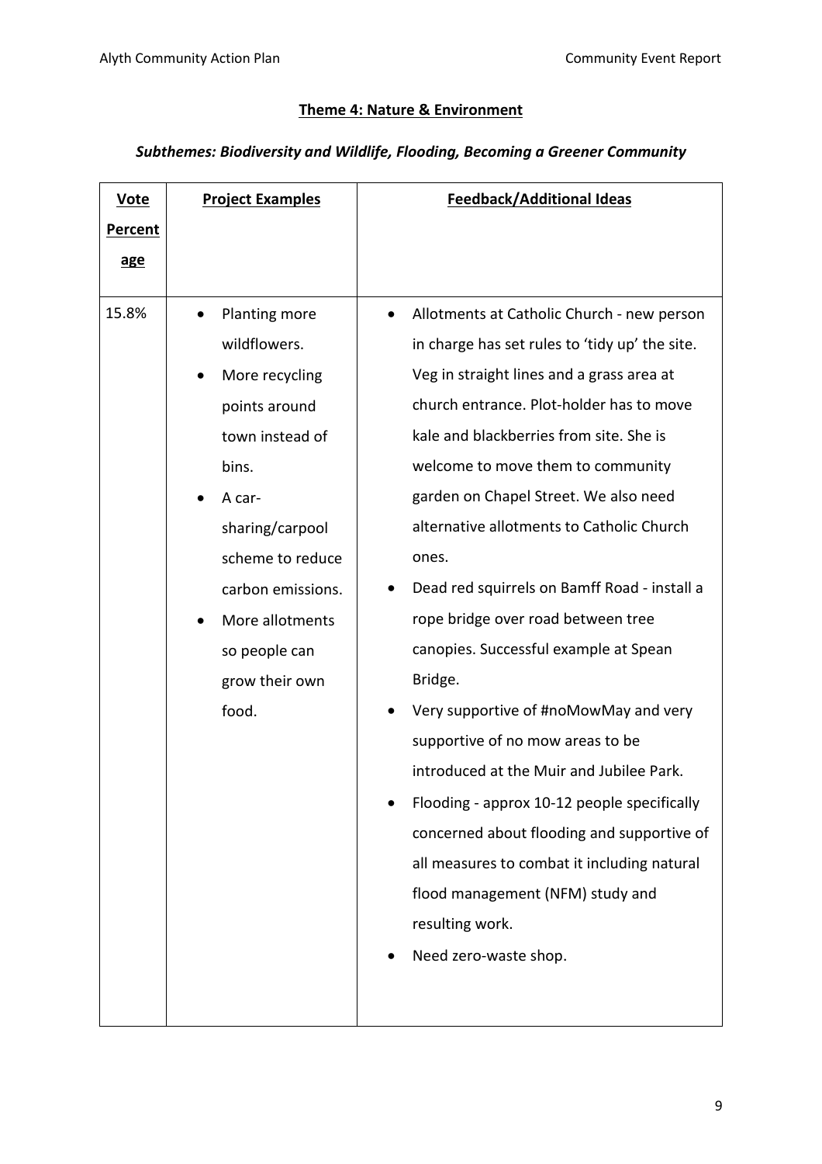#### **Theme 4: Nature & Environment**

# *Subthemes: Biodiversity and Wildlife, Flooding, Becoming a Greener Community*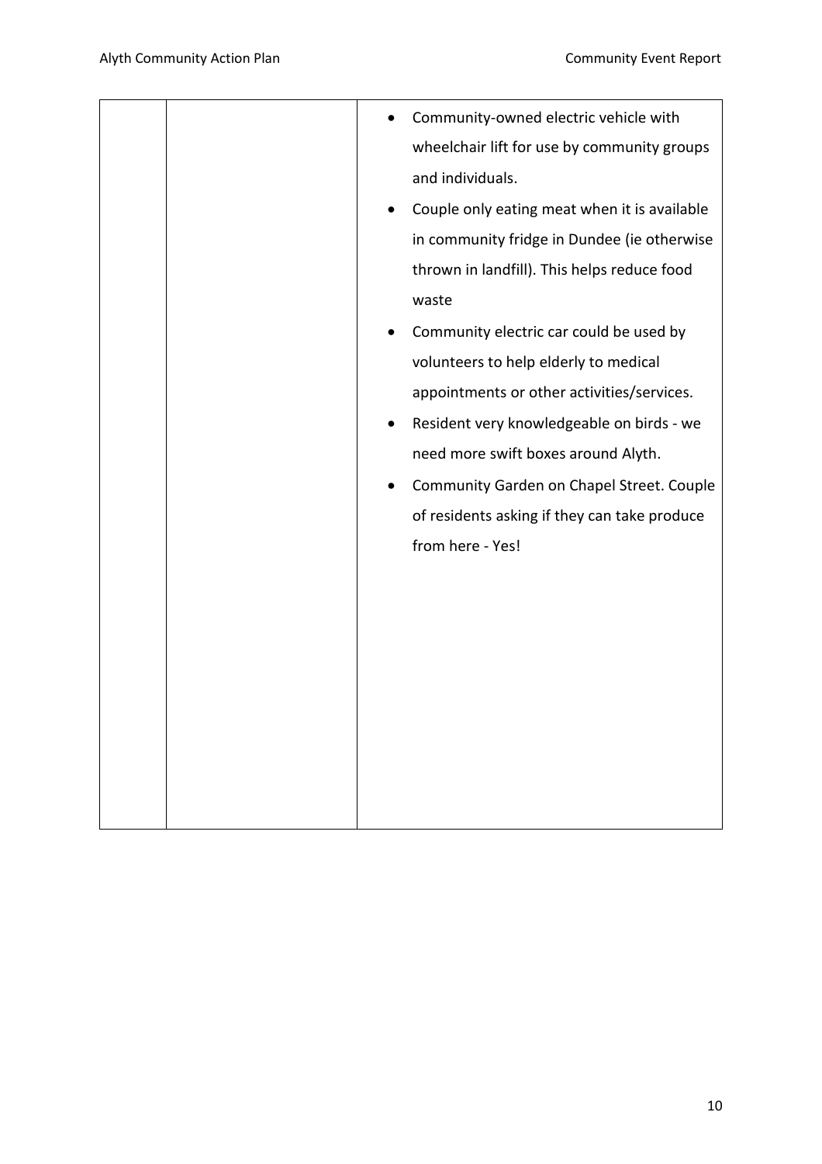|  |           | Community-owned electric vehicle with        |
|--|-----------|----------------------------------------------|
|  |           | wheelchair lift for use by community groups  |
|  |           | and individuals.                             |
|  | $\bullet$ | Couple only eating meat when it is available |
|  |           | in community fridge in Dundee (ie otherwise  |
|  |           | thrown in landfill). This helps reduce food  |
|  |           | waste                                        |
|  |           | Community electric car could be used by      |
|  |           | volunteers to help elderly to medical        |
|  |           | appointments or other activities/services.   |
|  | $\bullet$ | Resident very knowledgeable on birds - we    |
|  |           | need more swift boxes around Alyth.          |
|  |           | Community Garden on Chapel Street. Couple    |
|  |           | of residents asking if they can take produce |
|  |           | from here - Yes!                             |
|  |           |                                              |
|  |           |                                              |
|  |           |                                              |
|  |           |                                              |
|  |           |                                              |
|  |           |                                              |
|  |           |                                              |
|  |           |                                              |
|  |           |                                              |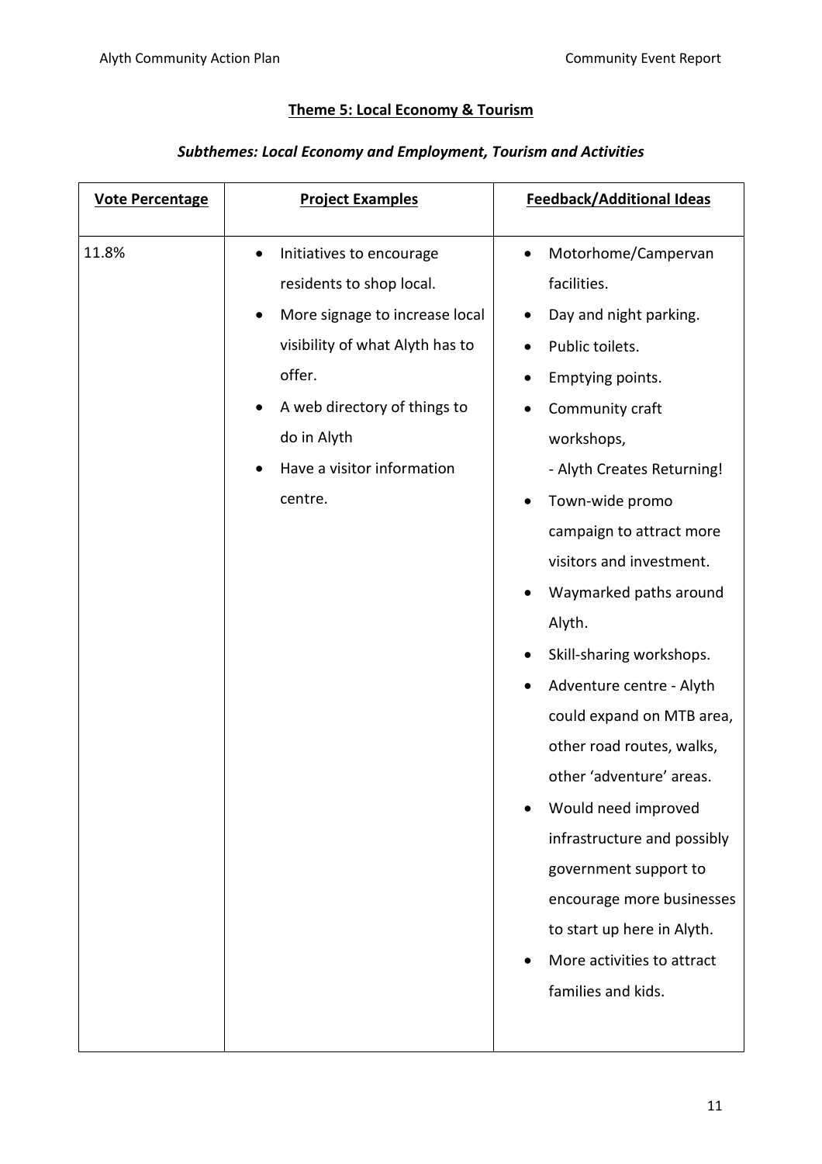#### **Theme 5: Local Economy & Tourism**

# *Subthemes: Local Economy and Employment, Tourism and Activities*

| <b>Vote Percentage</b> | <b>Project Examples</b>                                                                                                                                                                                                                  | <b>Feedback/Additional Ideas</b>                                                                                                                                                                                                                                                                                                                                                                                                                                                                                                                                                                                                                                          |
|------------------------|------------------------------------------------------------------------------------------------------------------------------------------------------------------------------------------------------------------------------------------|---------------------------------------------------------------------------------------------------------------------------------------------------------------------------------------------------------------------------------------------------------------------------------------------------------------------------------------------------------------------------------------------------------------------------------------------------------------------------------------------------------------------------------------------------------------------------------------------------------------------------------------------------------------------------|
| 11.8%                  | Initiatives to encourage<br>$\bullet$<br>residents to shop local.<br>More signage to increase local<br>visibility of what Alyth has to<br>offer.<br>A web directory of things to<br>do in Alyth<br>Have a visitor information<br>centre. | Motorhome/Campervan<br>$\bullet$<br>facilities.<br>Day and night parking.<br>Public toilets.<br>Emptying points.<br>$\bullet$<br>Community craft<br>$\bullet$<br>workshops,<br>- Alyth Creates Returning!<br>Town-wide promo<br>٠<br>campaign to attract more<br>visitors and investment.<br>Waymarked paths around<br>Alyth.<br>Skill-sharing workshops.<br>Adventure centre - Alyth<br>could expand on MTB area,<br>other road routes, walks,<br>other 'adventure' areas.<br>Would need improved<br>infrastructure and possibly<br>government support to<br>encourage more businesses<br>to start up here in Alyth.<br>More activities to attract<br>families and kids. |
|                        |                                                                                                                                                                                                                                          |                                                                                                                                                                                                                                                                                                                                                                                                                                                                                                                                                                                                                                                                           |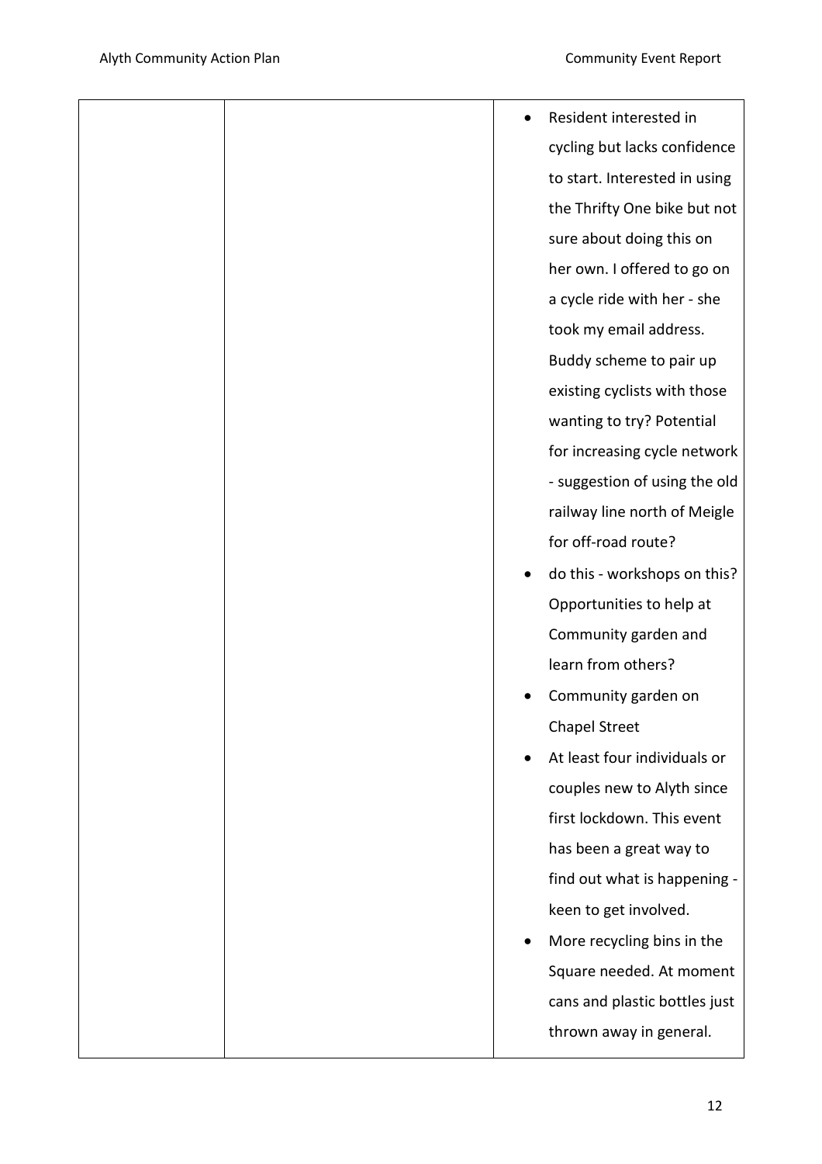|  | Resident interested in        |
|--|-------------------------------|
|  | cycling but lacks confidence  |
|  | to start. Interested in using |
|  | the Thrifty One bike but not  |
|  | sure about doing this on      |
|  | her own. I offered to go on   |
|  | a cycle ride with her - she   |
|  | took my email address.        |
|  | Buddy scheme to pair up       |
|  | existing cyclists with those  |
|  | wanting to try? Potential     |
|  | for increasing cycle network  |
|  | - suggestion of using the old |
|  | railway line north of Meigle  |
|  | for off-road route?           |
|  | do this - workshops on this?  |
|  | Opportunities to help at      |
|  | Community garden and          |
|  | learn from others?            |
|  | Community garden on           |
|  | <b>Chapel Street</b>          |
|  | At least four individuals or  |
|  | couples new to Alyth since    |
|  | first lockdown. This event    |
|  | has been a great way to       |
|  | find out what is happening -  |
|  | keen to get involved.         |
|  | More recycling bins in the    |
|  | Square needed. At moment      |
|  | cans and plastic bottles just |
|  | thrown away in general.       |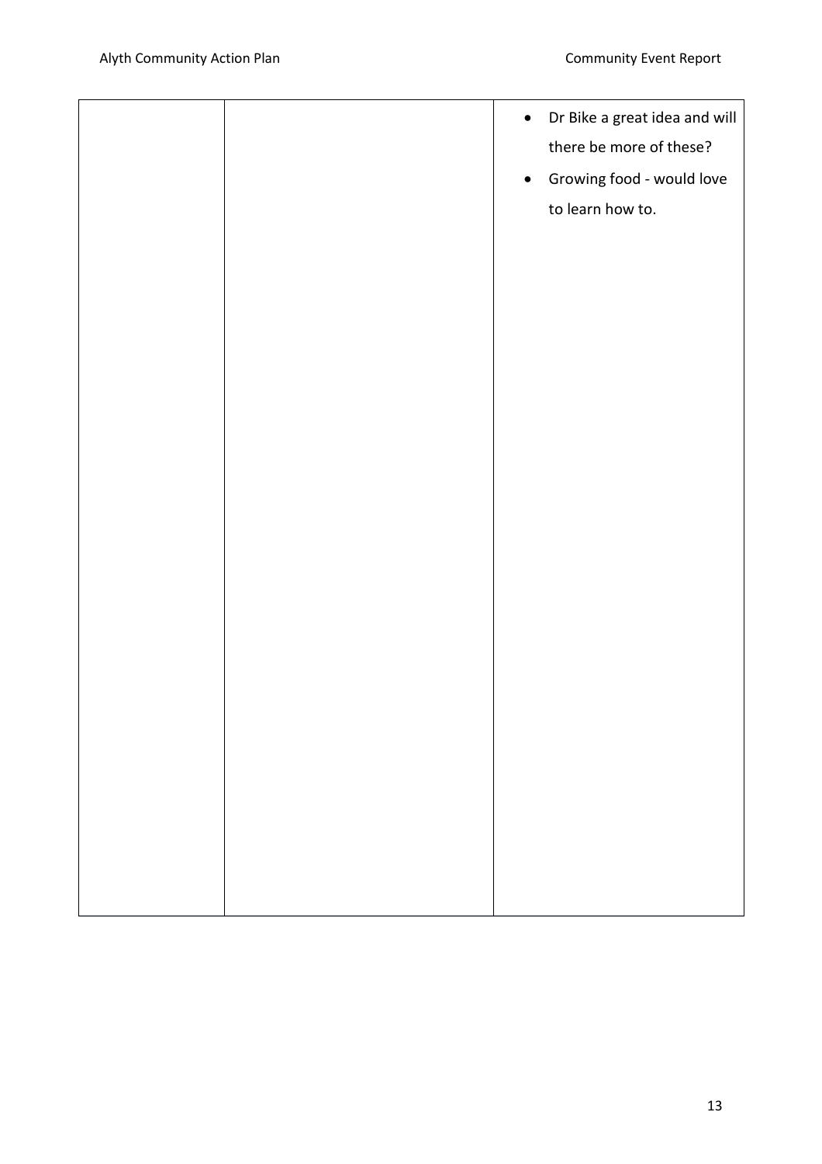|  | Dr Bike a great idea and will<br>$\bullet$<br>there be more of these?<br>Growing food - would love<br>$\bullet$<br>to learn how to. |
|--|-------------------------------------------------------------------------------------------------------------------------------------|
|  |                                                                                                                                     |
|  |                                                                                                                                     |
|  |                                                                                                                                     |
|  |                                                                                                                                     |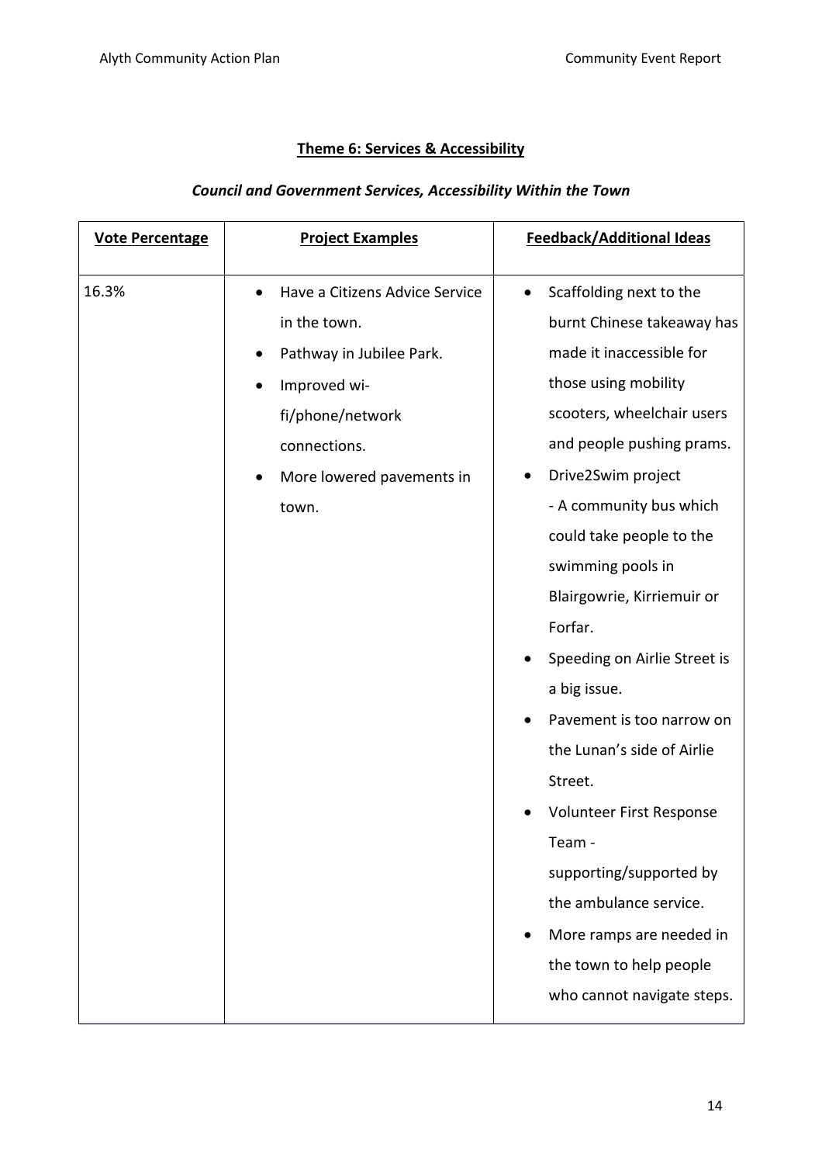# **Theme 6: Services & Accessibility**

#### *Council and Government Services, Accessibility Within the Town*

| <b>Vote Percentage</b> | <b>Project Examples</b>                                                                                                                                                           | <b>Feedback/Additional Ideas</b>                                                                                                                                                                                                                                                                                                                                                                                                                                                                                                                                                                         |
|------------------------|-----------------------------------------------------------------------------------------------------------------------------------------------------------------------------------|----------------------------------------------------------------------------------------------------------------------------------------------------------------------------------------------------------------------------------------------------------------------------------------------------------------------------------------------------------------------------------------------------------------------------------------------------------------------------------------------------------------------------------------------------------------------------------------------------------|
| 16.3%                  | Have a Citizens Advice Service<br>$\bullet$<br>in the town.<br>Pathway in Jubilee Park.<br>Improved wi-<br>fi/phone/network<br>connections.<br>More lowered pavements in<br>town. | Scaffolding next to the<br>$\bullet$<br>burnt Chinese takeaway has<br>made it inaccessible for<br>those using mobility<br>scooters, wheelchair users<br>and people pushing prams.<br>Drive2Swim project<br>- A community bus which<br>could take people to the<br>swimming pools in<br>Blairgowrie, Kirriemuir or<br>Forfar.<br>Speeding on Airlie Street is<br>$\bullet$<br>a big issue.<br>Pavement is too narrow on<br>$\bullet$<br>the Lunan's side of Airlie<br>Street.<br>Volunteer First Response<br>Team -<br>supporting/supported by<br>the ambulance service.<br>More ramps are needed in<br>٠ |
|                        |                                                                                                                                                                                   | who cannot navigate steps.                                                                                                                                                                                                                                                                                                                                                                                                                                                                                                                                                                               |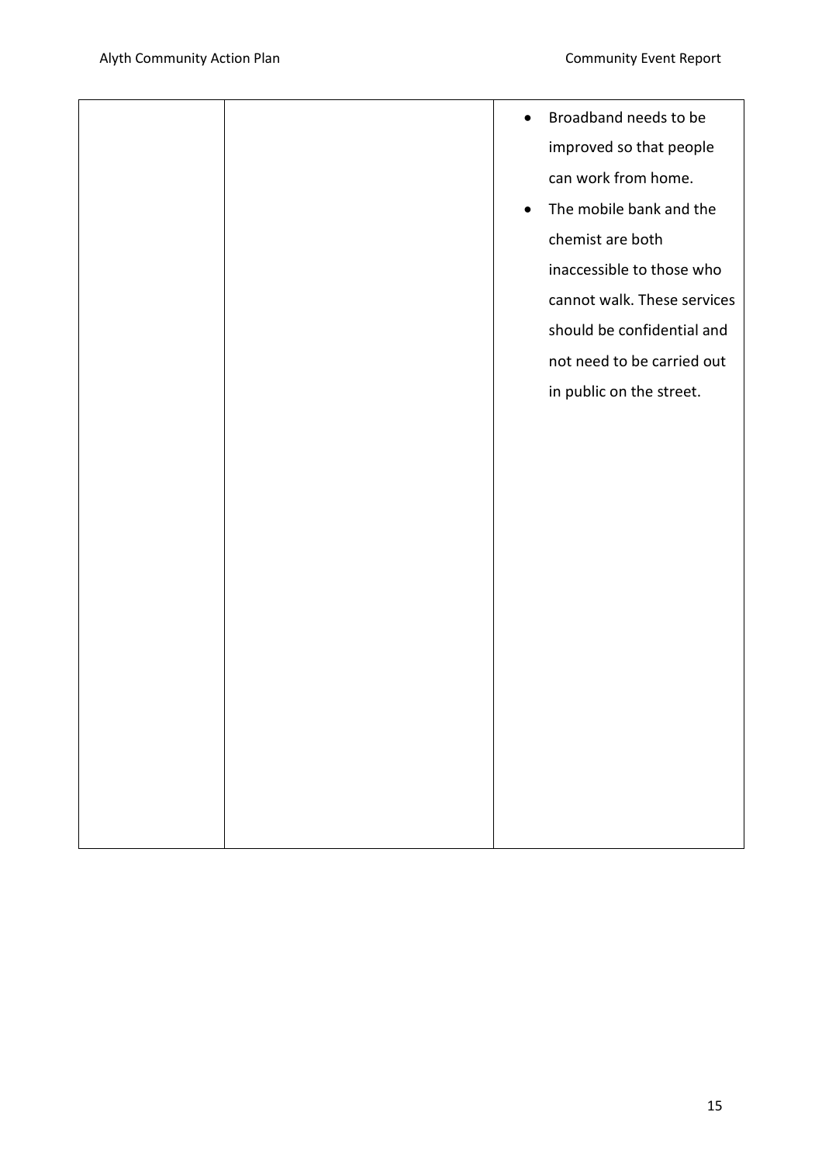|  | $\bullet$ | Broadband needs to be       |
|--|-----------|-----------------------------|
|  |           | improved so that people     |
|  |           | can work from home.         |
|  | $\bullet$ | The mobile bank and the     |
|  |           | chemist are both            |
|  |           | inaccessible to those who   |
|  |           | cannot walk. These services |
|  |           | should be confidential and  |
|  |           | not need to be carried out  |
|  |           |                             |
|  |           | in public on the street.    |
|  |           |                             |
|  |           |                             |
|  |           |                             |
|  |           |                             |
|  |           |                             |
|  |           |                             |
|  |           |                             |
|  |           |                             |
|  |           |                             |
|  |           |                             |
|  |           |                             |
|  |           |                             |
|  |           |                             |
|  |           |                             |
|  |           |                             |
|  |           |                             |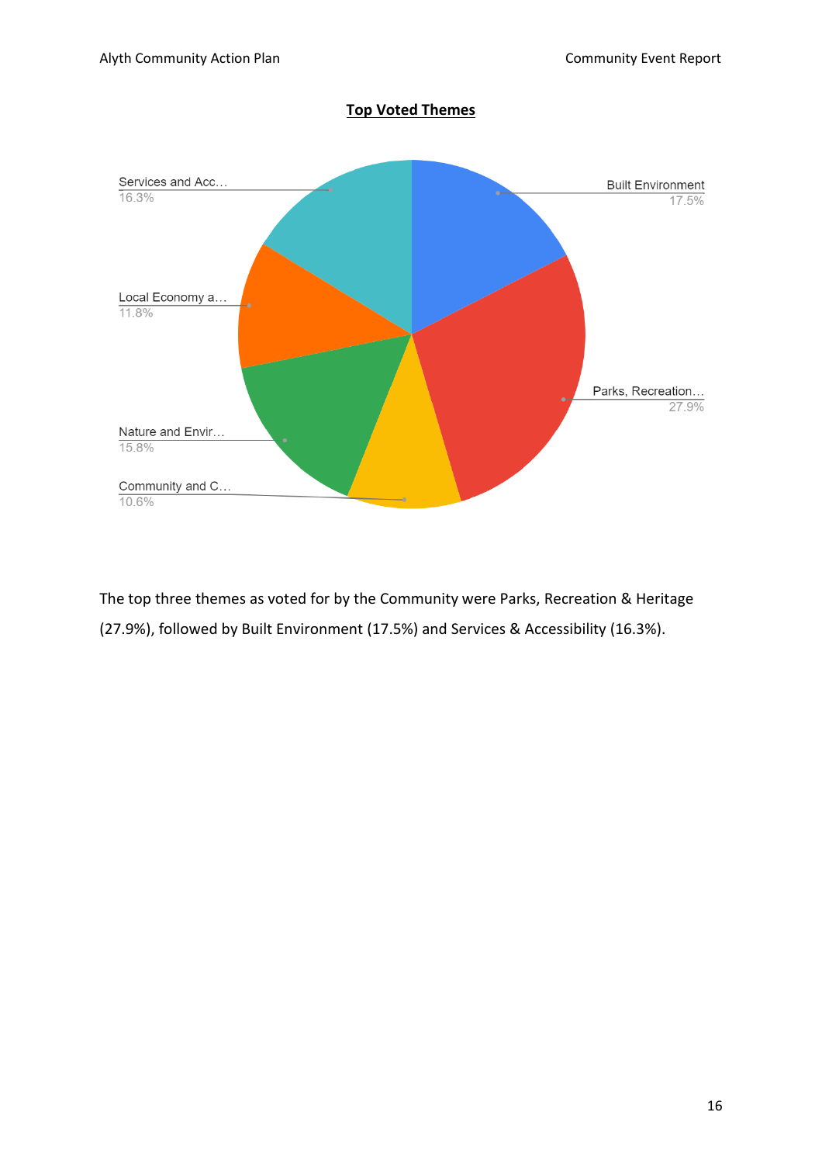

The top three themes as voted for by the Community were Parks, Recreation & Heritage (27.9%), followed by Built Environment (17.5%) and Services & Accessibility (16.3%).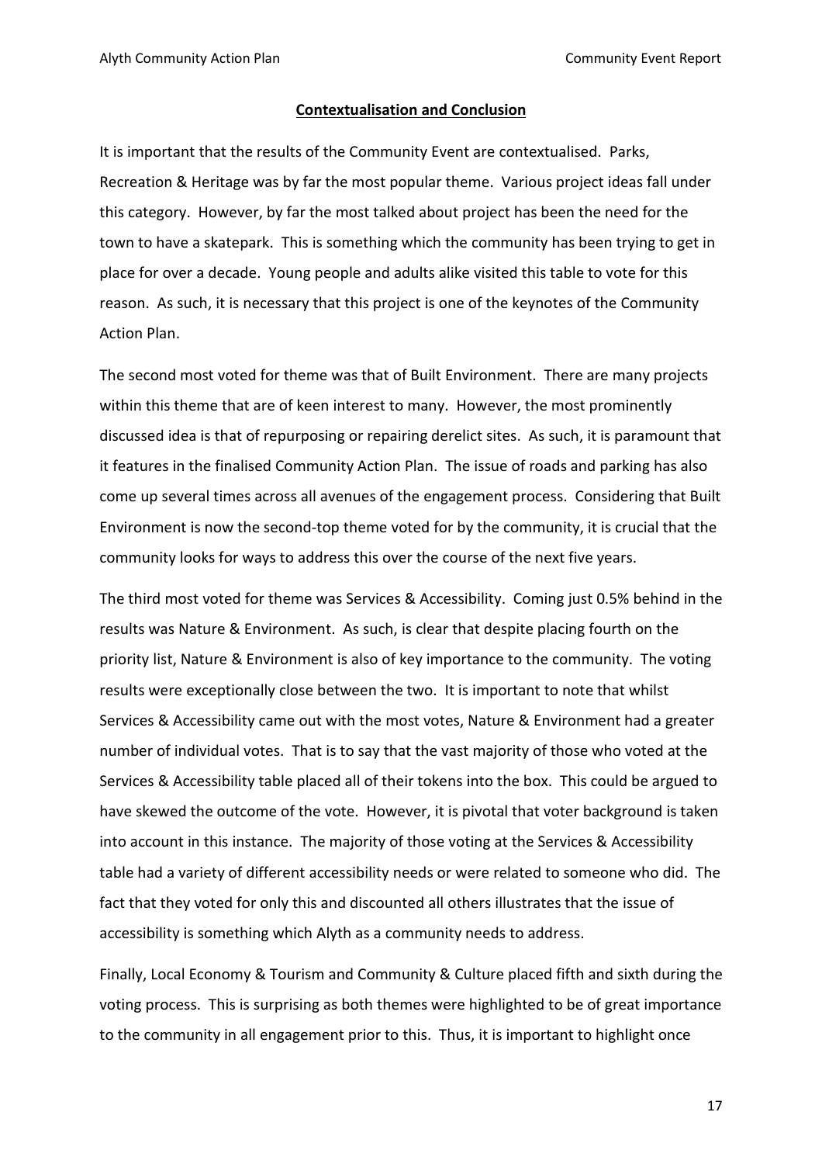#### **Contextualisation and Conclusion**

It is important that the results of the Community Event are contextualised. Parks, Recreation & Heritage was by far the most popular theme. Various project ideas fall under this category. However, by far the most talked about project has been the need for the town to have a skatepark. This is something which the community has been trying to get in place for over a decade. Young people and adults alike visited this table to vote for this reason. As such, it is necessary that this project is one of the keynotes of the Community Action Plan.

The second most voted for theme was that of Built Environment. There are many projects within this theme that are of keen interest to many. However, the most prominently discussed idea is that of repurposing or repairing derelict sites. As such, it is paramount that it features in the finalised Community Action Plan. The issue of roads and parking has also come up several times across all avenues of the engagement process. Considering that Built Environment is now the second-top theme voted for by the community, it is crucial that the community looks for ways to address this over the course of the next five years.

The third most voted for theme was Services & Accessibility. Coming just 0.5% behind in the results was Nature & Environment. As such, is clear that despite placing fourth on the priority list, Nature & Environment is also of key importance to the community. The voting results were exceptionally close between the two. It is important to note that whilst Services & Accessibility came out with the most votes, Nature & Environment had a greater number of individual votes. That is to say that the vast majority of those who voted at the Services & Accessibility table placed all of their tokens into the box. This could be argued to have skewed the outcome of the vote. However, it is pivotal that voter background is taken into account in this instance. The majority of those voting at the Services & Accessibility table had a variety of different accessibility needs or were related to someone who did. The fact that they voted for only this and discounted all others illustrates that the issue of accessibility is something which Alyth as a community needs to address.

Finally, Local Economy & Tourism and Community & Culture placed fifth and sixth during the voting process. This is surprising as both themes were highlighted to be of great importance to the community in all engagement prior to this. Thus, it is important to highlight once

17